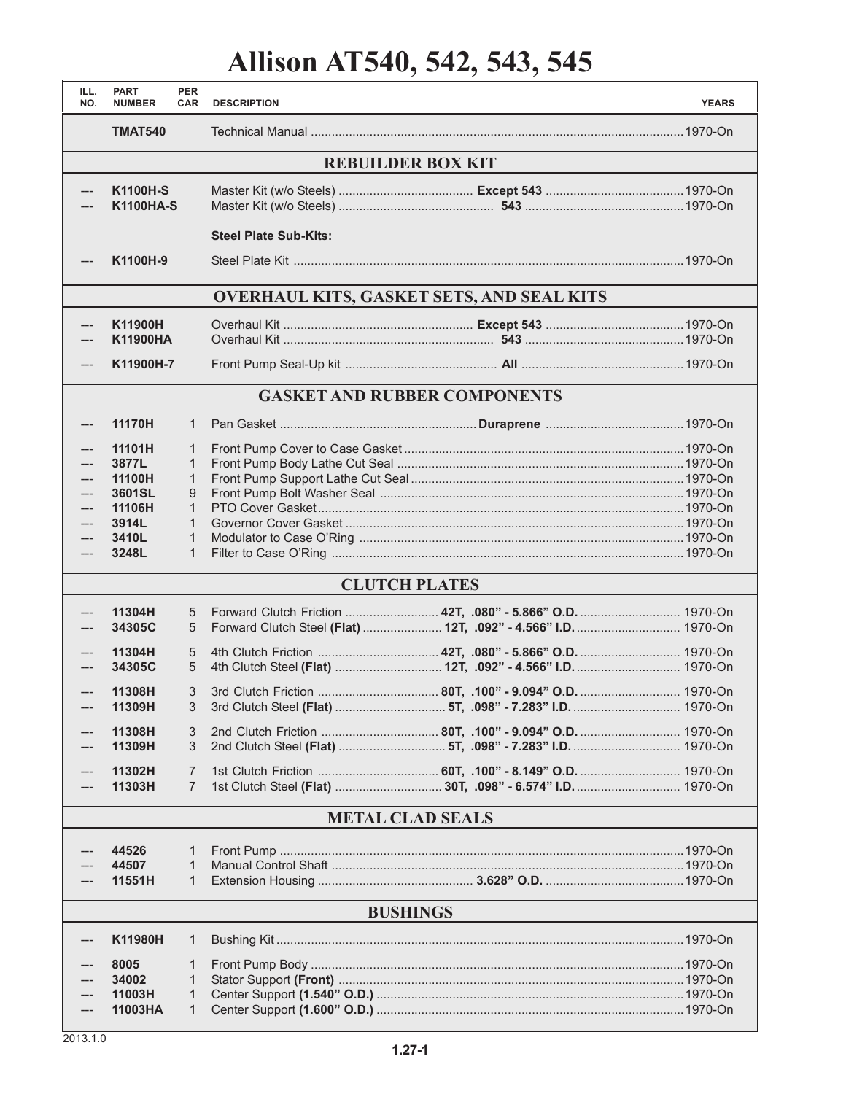# **Allison AT540, 542, 543, 545**

| ILL.<br>NO.                     | <b>PART</b><br><b>NUMBER</b>                                             | <b>PER</b><br><b>CAR</b>                                              | <b>DESCRIPTION</b>           |                                                                                                                              | <b>YEARS</b> |
|---------------------------------|--------------------------------------------------------------------------|-----------------------------------------------------------------------|------------------------------|------------------------------------------------------------------------------------------------------------------------------|--------------|
|                                 | <b>TMAT540</b>                                                           |                                                                       |                              |                                                                                                                              |              |
|                                 |                                                                          |                                                                       |                              | <b>REBUILDER BOX KIT</b>                                                                                                     |              |
| $---$                           | <b>K1100H-S</b><br><b>K1100HA-S</b>                                      |                                                                       |                              |                                                                                                                              |              |
|                                 |                                                                          |                                                                       | <b>Steel Plate Sub-Kits:</b> |                                                                                                                              |              |
| ---                             | K1100H-9                                                                 |                                                                       |                              |                                                                                                                              |              |
|                                 |                                                                          |                                                                       |                              | <b>OVERHAUL KITS, GASKET SETS, AND SEAL KITS</b>                                                                             |              |
| $---$                           | K11900H<br><b>K11900HA</b>                                               |                                                                       |                              |                                                                                                                              |              |
| $---$                           | K11900H-7                                                                |                                                                       |                              |                                                                                                                              |              |
|                                 |                                                                          |                                                                       |                              | <b>GASKET AND RUBBER COMPONENTS</b>                                                                                          |              |
| ---                             | 11170H                                                                   | $\mathbf{1}$                                                          |                              |                                                                                                                              |              |
| ---<br>---<br>---<br>---<br>--- | 11101H<br>3877L<br>11100H<br>3601SL<br>11106H<br>3914L<br>3410L<br>3248L | 1<br>1<br>$\mathbf{1}$<br>9<br>$\mathbf{1}$<br>1<br>1<br>$\mathbf{1}$ |                              |                                                                                                                              |              |
|                                 |                                                                          |                                                                       |                              | <b>CLUTCH PLATES</b>                                                                                                         |              |
| $---$                           | 11304H<br>34305C                                                         | 5<br>5                                                                |                              | Forward Clutch Friction  42T, .080" - 5.866" O.D.  1970-On<br>Forward Clutch Steel (Flat)  12T, .092" - 4.566" I.D.  1970-On |              |
|                                 | 11304H<br>34305C                                                         | 5<br>5                                                                |                              |                                                                                                                              |              |
| $---$<br>---                    | 11308H<br>11309H                                                         | 3<br>3                                                                |                              |                                                                                                                              |              |
|                                 | 11308H<br>11309H                                                         | 3<br>3                                                                |                              |                                                                                                                              |              |
|                                 | 11302H<br>11303H                                                         | 7<br>7                                                                |                              |                                                                                                                              |              |
| <b>METAL CLAD SEALS</b>         |                                                                          |                                                                       |                              |                                                                                                                              |              |
|                                 | 44526<br>44507<br>11551H                                                 | 1<br>$\mathbf{1}$<br>1                                                |                              |                                                                                                                              |              |
| <b>BUSHINGS</b>                 |                                                                          |                                                                       |                              |                                                                                                                              |              |
| ---                             | K11980H                                                                  | 1                                                                     |                              |                                                                                                                              |              |
|                                 | 8005<br>34002<br>11003H<br>11003HA                                       | 1<br>1<br>1<br>$\mathbf{1}$                                           |                              |                                                                                                                              |              |